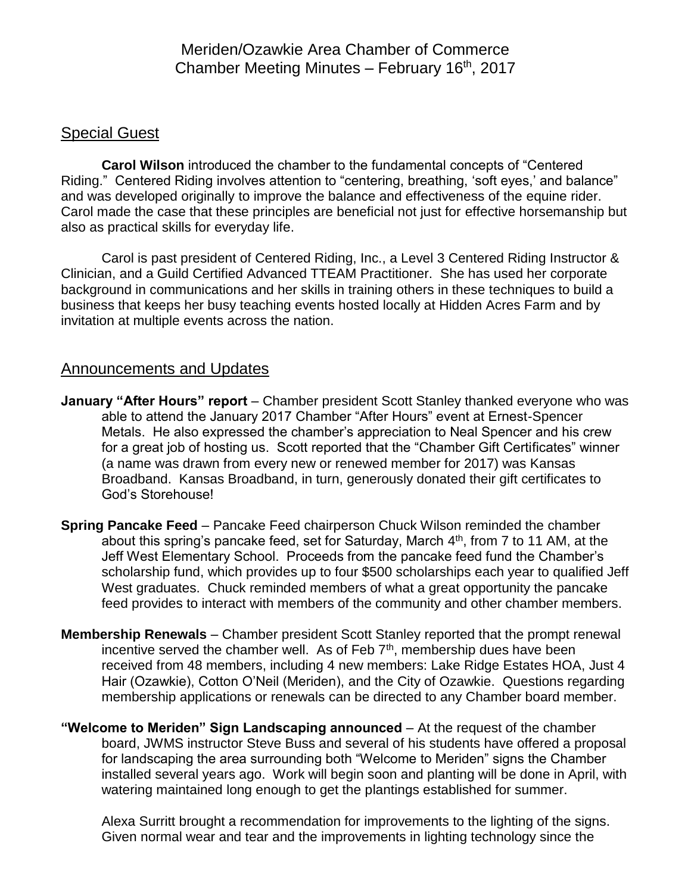## Meriden/Ozawkie Area Chamber of Commerce Chamber Meeting Minutes - February 16<sup>th</sup>, 2017

## Special Guest

**Carol Wilson** introduced the chamber to the fundamental concepts of "Centered Riding." Centered Riding involves attention to "centering, breathing, 'soft eyes,' and balance" and was developed originally to improve the balance and effectiveness of the equine rider. Carol made the case that these principles are beneficial not just for effective horsemanship but also as practical skills for everyday life.

Carol is past president of Centered Riding, Inc., a Level 3 Centered Riding Instructor & Clinician, and a Guild Certified Advanced TTEAM Practitioner. She has used her corporate background in communications and her skills in training others in these techniques to build a business that keeps her busy teaching events hosted locally at Hidden Acres Farm and by invitation at multiple events across the nation.

## Announcements and Updates

- **January "After Hours" report** Chamber president Scott Stanley thanked everyone who was able to attend the January 2017 Chamber "After Hours" event at Ernest-Spencer Metals. He also expressed the chamber's appreciation to Neal Spencer and his crew for a great job of hosting us. Scott reported that the "Chamber Gift Certificates" winner (a name was drawn from every new or renewed member for 2017) was Kansas Broadband. Kansas Broadband, in turn, generously donated their gift certificates to God's Storehouse!
- **Spring Pancake Feed** Pancake Feed chairperson Chuck Wilson reminded the chamber about this spring's pancake feed, set for Saturday, March 4<sup>th</sup>, from 7 to 11 AM, at the Jeff West Elementary School. Proceeds from the pancake feed fund the Chamber's scholarship fund, which provides up to four \$500 scholarships each year to qualified Jeff West graduates. Chuck reminded members of what a great opportunity the pancake feed provides to interact with members of the community and other chamber members.
- **Membership Renewals** Chamber president Scott Stanley reported that the prompt renewal incentive served the chamber well. As of Feb  $7<sup>th</sup>$ , membership dues have been received from 48 members, including 4 new members: Lake Ridge Estates HOA, Just 4 Hair (Ozawkie), Cotton O'Neil (Meriden), and the City of Ozawkie. Questions regarding membership applications or renewals can be directed to any Chamber board member.
- **"Welcome to Meriden" Sign Landscaping announced** At the request of the chamber board, JWMS instructor Steve Buss and several of his students have offered a proposal for landscaping the area surrounding both "Welcome to Meriden" signs the Chamber installed several years ago. Work will begin soon and planting will be done in April, with watering maintained long enough to get the plantings established for summer.

Alexa Surritt brought a recommendation for improvements to the lighting of the signs. Given normal wear and tear and the improvements in lighting technology since the